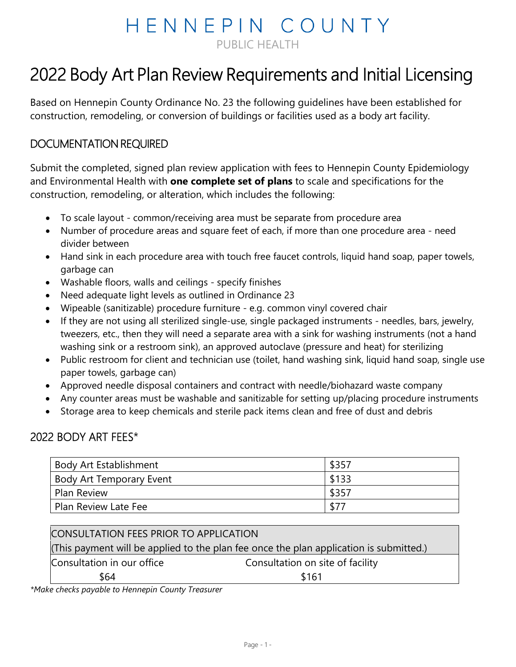## HENNEPIN COUNTY PUBLIC HEALTH

# 2022 Body Art Plan Review Requirements and Initial Licensing

Based on Hennepin County Ordinance No. 23 the following guidelines have been established for construction, remodeling, or conversion of buildings or facilities used as a body art facility.

### DOCUMENTATION REQUIRED

Submit the completed, signed plan review application with fees to Hennepin County Epidemiology and Environmental Health with **one complete set of plans** to scale and specifications for the construction, remodeling, or alteration, which includes the following:

- To scale layout common/receiving area must be separate from procedure area
- Number of procedure areas and square feet of each, if more than one procedure area need divider between
- Hand sink in each procedure area with touch free faucet controls, liquid hand soap, paper towels, garbage can
- Washable floors, walls and ceilings specify finishes
- Need adequate light levels as outlined in Ordinance 23
- Wipeable (sanitizable) procedure furniture e.g. common vinyl covered chair
- If they are not using all sterilized single-use, single packaged instruments needles, bars, jewelry, tweezers, etc., then they will need a separate area with a sink for washing instruments (not a hand washing sink or a restroom sink), an approved autoclave (pressure and heat) for sterilizing
- Public restroom for client and technician use (toilet, hand washing sink, liquid hand soap, single use paper towels, garbage can)
- Approved needle disposal containers and contract with needle/biohazard waste company
- Any counter areas must be washable and sanitizable for setting up/placing procedure instruments
- Storage area to keep chemicals and sterile pack items clean and free of dust and debris

#### 2022 BODY ART FEES\*

| <b>Body Art Establishment</b>   | \$357  |
|---------------------------------|--------|
| <b>Body Art Temporary Event</b> | \$133  |
| <b>Plan Review</b>              | \$357  |
| Plan Review Late Fee            | $$7^-$ |

| CONSULTATION FEES PRIOR TO APPLICATION |                                                                                        |  |  |  |  |  |
|----------------------------------------|----------------------------------------------------------------------------------------|--|--|--|--|--|
|                                        | (This payment will be applied to the plan fee once the plan application is submitted.) |  |  |  |  |  |
| Consultation in our office             | Consultation on site of facility                                                       |  |  |  |  |  |
| \$64                                   | \$161                                                                                  |  |  |  |  |  |

*\*Make checks payable to Hennepin County Treasurer*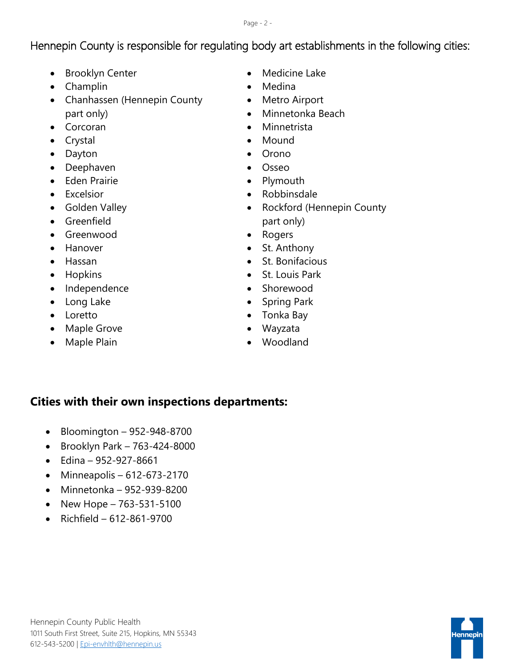Page - 2 -

## Hennepin County is responsible for regulating body art establishments in the following cities:

- Brooklyn Center
- Champlin
- Chanhassen (Hennepin County part only)
- Corcoran
- Crystal
- Dayton
- Deephaven
- Eden Prairie
- Excelsior
- Golden Valley
- Greenfield
- Greenwood
- Hanover
- Hassan
- Hopkins
- Independence
- Long Lake
- Loretto
- Maple Grove
- Maple Plain
- Medicine Lake
- Medina
- Metro Airport
- Minnetonka Beach
- Minnetrista
- Mound
- Orono
- Osseo
- Plymouth
- Robbinsdale
- Rockford (Hennepin County part only)
- Rogers
- St. Anthony
- St. Bonifacious
- St. Louis Park
- Shorewood
- Spring Park
- Tonka Bay
- Wayzata
- Woodland

### **Cities with their own inspections departments:**

- Bloomington 952-948-8700
- Brooklyn Park 763-424-8000
- Edina 952-927-8661
- Minneapolis 612-673-2170
- Minnetonka 952-939-8200
- New Hope 763-531-5100
- Richfield 612-861-9700

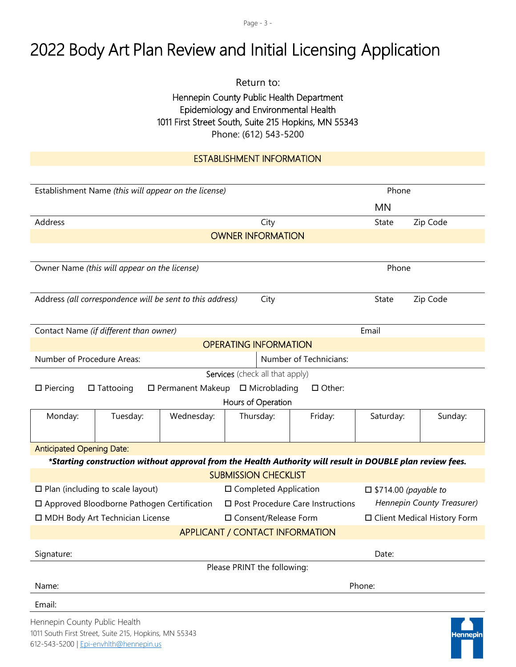Page - 3 -

## 2022 Body Art Plan Review and Initial Licensing Application

Return to:

#### Hennepin County Public Health Department Epidemiology and Environmental Health 1011 First Street South, Suite 215 Hopkins, MN 55343 Phone: (612) 543-5200

#### ESTABLISHMENT INFORMATION

| Establishment Name (this will appear on the license)                                         |                                                                                                           |                    |                         | Phone                           |                            |                                |                      |          |  |
|----------------------------------------------------------------------------------------------|-----------------------------------------------------------------------------------------------------------|--------------------|-------------------------|---------------------------------|----------------------------|--------------------------------|----------------------|----------|--|
|                                                                                              |                                                                                                           |                    |                         |                                 |                            |                                | <b>MN</b>            |          |  |
| Address<br>City                                                                              |                                                                                                           |                    |                         |                                 | State                      | Zip Code                       |                      |          |  |
| <b>OWNER INFORMATION</b>                                                                     |                                                                                                           |                    |                         |                                 |                            |                                |                      |          |  |
|                                                                                              |                                                                                                           |                    |                         |                                 |                            |                                |                      |          |  |
| Owner Name (this will appear on the license)                                                 |                                                                                                           |                    |                         |                                 |                            | Phone                          |                      |          |  |
|                                                                                              |                                                                                                           |                    |                         |                                 |                            |                                |                      |          |  |
|                                                                                              | Address (all correspondence will be sent to this address)                                                 |                    |                         | City                            |                            |                                | State                | Zip Code |  |
|                                                                                              |                                                                                                           |                    |                         |                                 |                            |                                |                      |          |  |
|                                                                                              | Contact Name (if different than owner)                                                                    |                    |                         |                                 |                            |                                | Email                |          |  |
|                                                                                              |                                                                                                           |                    |                         | <b>OPERATING INFORMATION</b>    |                            |                                |                      |          |  |
| Number of Procedure Areas:                                                                   |                                                                                                           |                    |                         |                                 |                            | Number of Technicians:         |                      |          |  |
|                                                                                              |                                                                                                           |                    |                         | Services (check all that apply) |                            |                                |                      |          |  |
| $\square$ Piercing                                                                           | $\Box$ Tattooing                                                                                          | □ Permanent Makeup |                         | $\Box$ Microblading             |                            | $\Box$ Other:                  |                      |          |  |
|                                                                                              |                                                                                                           |                    |                         | Hours of Operation              |                            |                                |                      |          |  |
| Monday:                                                                                      | Tuesday:                                                                                                  | Wednesday:         |                         | Thursday:                       |                            | Friday:                        | Saturday:<br>Sunday: |          |  |
|                                                                                              |                                                                                                           |                    |                         |                                 |                            |                                |                      |          |  |
| <b>Anticipated Opening Date:</b>                                                             |                                                                                                           |                    |                         |                                 |                            |                                |                      |          |  |
|                                                                                              | *Starting construction without approval from the Health Authority will result in DOUBLE plan review fees. |                    |                         |                                 |                            |                                |                      |          |  |
|                                                                                              |                                                                                                           |                    |                         | <b>SUBMISSION CHECKLIST</b>     |                            |                                |                      |          |  |
| $\square$ Plan (including to scale layout)                                                   |                                                                                                           |                    | □ Completed Application |                                 |                            | $\square$ \$714.00 (payable to |                      |          |  |
|                                                                                              | □ Approved Bloodborne Pathogen Certification<br>□ Post Procedure Care Instructions                        |                    |                         |                                 | Hennepin County Treasurer) |                                |                      |          |  |
| □ MDH Body Art Technician License<br>□ Consent/Release Form<br>□ Client Medical History Form |                                                                                                           |                    |                         |                                 |                            |                                |                      |          |  |
| <b>APPLICANT / CONTACT INFORMATION</b>                                                       |                                                                                                           |                    |                         |                                 |                            |                                |                      |          |  |
| Signature:                                                                                   |                                                                                                           |                    |                         | Date:                           |                            |                                |                      |          |  |
|                                                                                              |                                                                                                           |                    |                         | Please PRINT the following:     |                            |                                |                      |          |  |
| Name:                                                                                        |                                                                                                           |                    |                         |                                 |                            |                                | Phone:               |          |  |
| Email:                                                                                       |                                                                                                           |                    |                         |                                 |                            |                                |                      |          |  |
| Hennepin County Public Health                                                                |                                                                                                           |                    |                         |                                 |                            |                                |                      |          |  |

1011 South First Street, Suite 215, Hopkins, MN 55343 612-543-5200 | [Epi-envhlth@hennepin.us](mailto:Epi-envhlth@hennepin.us)

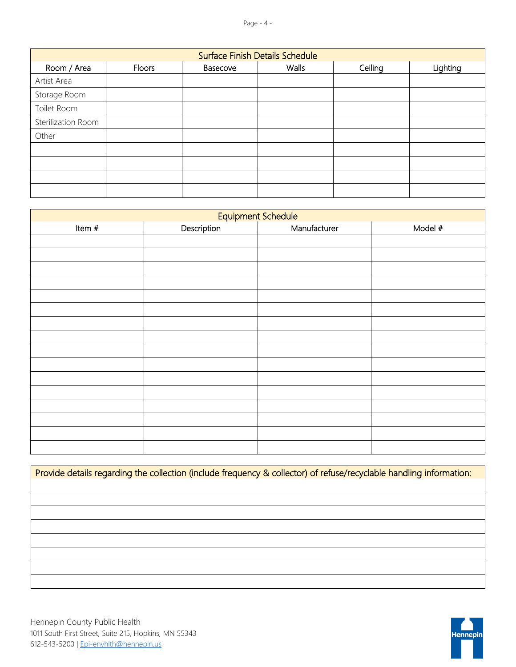| <b>Surface Finish Details Schedule</b> |        |          |       |         |          |  |  |
|----------------------------------------|--------|----------|-------|---------|----------|--|--|
| Room / Area                            | Floors | Basecove | Walls | Ceiling | Lighting |  |  |
| Artist Area                            |        |          |       |         |          |  |  |
| Storage Room                           |        |          |       |         |          |  |  |
| Toilet Room                            |        |          |       |         |          |  |  |
| Sterilization Room                     |        |          |       |         |          |  |  |
| Other                                  |        |          |       |         |          |  |  |
|                                        |        |          |       |         |          |  |  |
|                                        |        |          |       |         |          |  |  |
|                                        |        |          |       |         |          |  |  |
|                                        |        |          |       |         |          |  |  |

| Equipment Schedule |             |              |         |  |  |  |  |
|--------------------|-------------|--------------|---------|--|--|--|--|
| Item $#$           | Description | Manufacturer | Model # |  |  |  |  |
|                    |             |              |         |  |  |  |  |
|                    |             |              |         |  |  |  |  |
|                    |             |              |         |  |  |  |  |
|                    |             |              |         |  |  |  |  |
|                    |             |              |         |  |  |  |  |
|                    |             |              |         |  |  |  |  |
|                    |             |              |         |  |  |  |  |
|                    |             |              |         |  |  |  |  |
|                    |             |              |         |  |  |  |  |
|                    |             |              |         |  |  |  |  |
|                    |             |              |         |  |  |  |  |
|                    |             |              |         |  |  |  |  |
|                    |             |              |         |  |  |  |  |
|                    |             |              |         |  |  |  |  |
|                    |             |              |         |  |  |  |  |
|                    |             |              |         |  |  |  |  |

Provide details regarding the collection (include frequency & collector) of refuse/recyclable handling information: